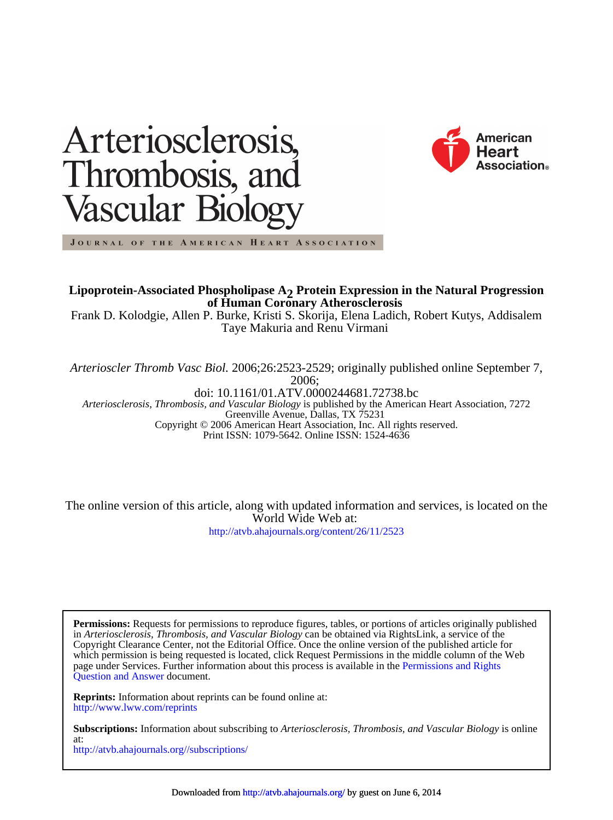



JOURNAL OF THE AMERICAN HEART ASSOCIATION

**of Human Coronary Atherosclerosis Lipoprotein-Associated Phospholipase A<sub>2</sub> Protein Expression in the Natural Progression** 

Taye Makuria and Renu Virmani Frank D. Kolodgie, Allen P. Burke, Kristi S. Skorija, Elena Ladich, Robert Kutys, Addisalem

2006; *Arterioscler Thromb Vasc Biol.* 2006;26:2523-2529; originally published online September 7,

Print ISSN: 1079-5642. Online ISSN: 1524-4636 Copyright © 2006 American Heart Association, Inc. All rights reserved. Greenville Avenue, Dallas, TX 75231 *Arteriosclerosis, Thrombosis, and Vascular Biology* is published by the American Heart Association, 7272 doi: 10.1161/01.ATV.0000244681.72738.bc

<http://atvb.ahajournals.org/content/26/11/2523> World Wide Web at: The online version of this article, along with updated information and services, is located on the

[Question and Answer](http://www.ahajournals.org/site/rights/) document. page under Services. Further information about this process is available in the [Permissions and Rights](http://www.ahajournals.org/site/rights/) which permission is being requested is located, click Request Permissions in the middle column of the Web Copyright Clearance Center, not the Editorial Office. Once the online version of the published article for in *Arteriosclerosis, Thrombosis, and Vascular Biology* can be obtained via RightsLink, a service of the **Permissions:** Requests for permissions to reproduce figures, tables, or portions of articles originally published

<http://www.lww.com/reprints> **Reprints:** Information about reprints can be found online at:

<http://atvb.ahajournals.org//subscriptions/> at: **Subscriptions:** Information about subscribing to *Arteriosclerosis, Thrombosis, and Vascular Biology* is online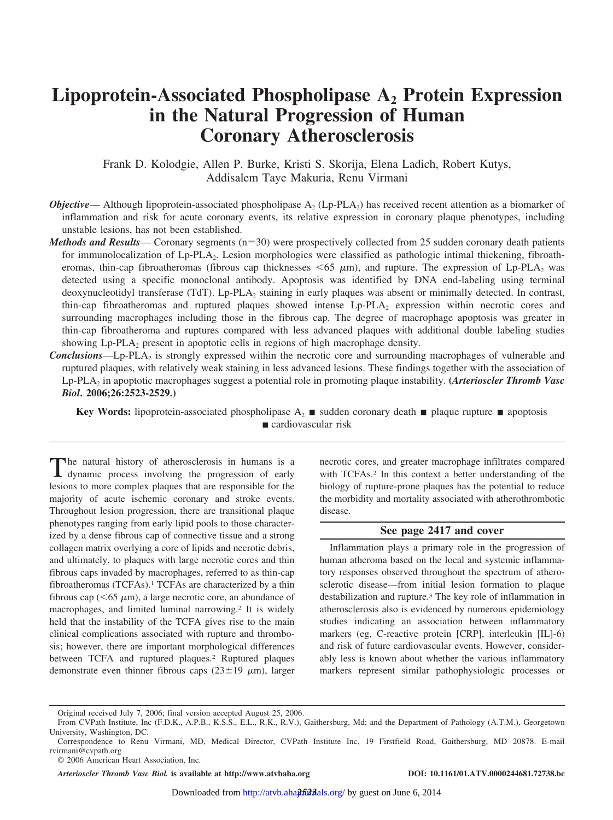# Lipoprotein-Associated Phospholipase A<sub>2</sub> Protein Expression **in the Natural Progression of Human Coronary Atherosclerosis**

Frank D. Kolodgie, Allen P. Burke, Kristi S. Skorija, Elena Ladich, Robert Kutys, Addisalem Taye Makuria, Renu Virmani

- *Objective* Although lipoprotein-associated phospholipase  $A_2$  (Lp-PLA<sub>2</sub>) has received recent attention as a biomarker of inflammation and risk for acute coronary events, its relative expression in coronary plaque phenotypes, including unstable lesions, has not been established.
- *Methods and Results* Coronary segments  $(n=30)$  were prospectively collected from 25 sudden coronary death patients for immunolocalization of Lp-PLA2. Lesion morphologies were classified as pathologic intimal thickening, fibroatheromas, thin-cap fibroatheromas (fibrous cap thicknesses  $\leq 65 \mu$ m), and rupture. The expression of Lp-PLA<sub>2</sub> was detected using a specific monoclonal antibody. Apoptosis was identified by DNA end-labeling using terminal deoxynucleotidyl transferase (TdT). Lp-PLA2 staining in early plaques was absent or minimally detected. In contrast, thin-cap fibroatheromas and ruptured plaques showed intense Lp-PLA2 expression within necrotic cores and surrounding macrophages including those in the fibrous cap. The degree of macrophage apoptosis was greater in thin-cap fibroatheroma and ruptures compared with less advanced plaques with additional double labeling studies showing  $L_p$ -PLA<sub>2</sub> present in apoptotic cells in regions of high macrophage density.
- **Conclusions**—Lp-PLA<sub>2</sub> is strongly expressed within the necrotic core and surrounding macrophages of vulnerable and ruptured plaques, with relatively weak staining in less advanced lesions. These findings together with the association of Lp-PLA2 in apoptotic macrophages suggest a potential role in promoting plaque instability. **(***Arterioscler Thromb Vasc Biol***. 2006;26:2523-2529.)**

**Key Words:** lipoprotein-associated phospholipase  $A_2$  **s** sudden coronary death **s** plaque rupture **a** apoptosis cardiovascular risk

The natural history of atherosclerosis in humans is a dynamic process involving the progression of early lesions to more complex plaques that are responsible for the majority of acute ischemic coronary and stroke events. Throughout lesion progression, there are transitional plaque phenotypes ranging from early lipid pools to those characterized by a dense fibrous cap of connective tissue and a strong collagen matrix overlying a core of lipids and necrotic debris, and ultimately, to plaques with large necrotic cores and thin fibrous caps invaded by macrophages, referred to as thin-cap fibroatheromas (TCFAs).1 TCFAs are characterized by a thin fibrous cap ( $\leq 65 \mu$ m), a large necrotic core, an abundance of macrophages, and limited luminal narrowing.<sup>2</sup> It is widely held that the instability of the TCFA gives rise to the main clinical complications associated with rupture and thrombosis; however, there are important morphological differences between TCFA and ruptured plaques.<sup>2</sup> Ruptured plaques demonstrate even thinner fibrous caps  $(23\pm 19 \mu m)$ , larger

necrotic cores, and greater macrophage infiltrates compared with TCFAs.<sup>2</sup> In this context a better understanding of the biology of rupture-prone plaques has the potential to reduce the morbidity and mortality associated with atherothrombotic disease.

## **See page 2417 and cover**

Inflammation plays a primary role in the progression of human atheroma based on the local and systemic inflammatory responses observed throughout the spectrum of atherosclerotic disease—from initial lesion formation to plaque destabilization and rupture.3 The key role of inflammation in atherosclerosis also is evidenced by numerous epidemiology studies indicating an association between inflammatory markers (eg, C-reactive protein [CRP], interleukin [IL]-6) and risk of future cardiovascular events. However, considerably less is known about whether the various inflammatory markers represent similar pathophysiologic processes or

*Arterioscler Thromb Vasc Biol.* **is available at http://www.atvbaha.org DOI: 10.1161/01.ATV.0000244681.72738.bc**

Original received July 7, 2006; final version accepted August 25, 2006.

From CVPath Institute, Inc (F.D.K., A.P.B., K.S.S., E.L., R.K., R.V.), Gaithersburg, Md; and the Department of Pathology (A.T.M.), Georgetown University, Washington, DC.

Correspondence to Renu Virmani, MD, Medical Director, CVPath Institute Inc, 19 Firstfield Road, Gaithersburg, MD 20878. E-mail rvirmani@cvpath.org

<sup>© 2006</sup> American Heart Association, Inc.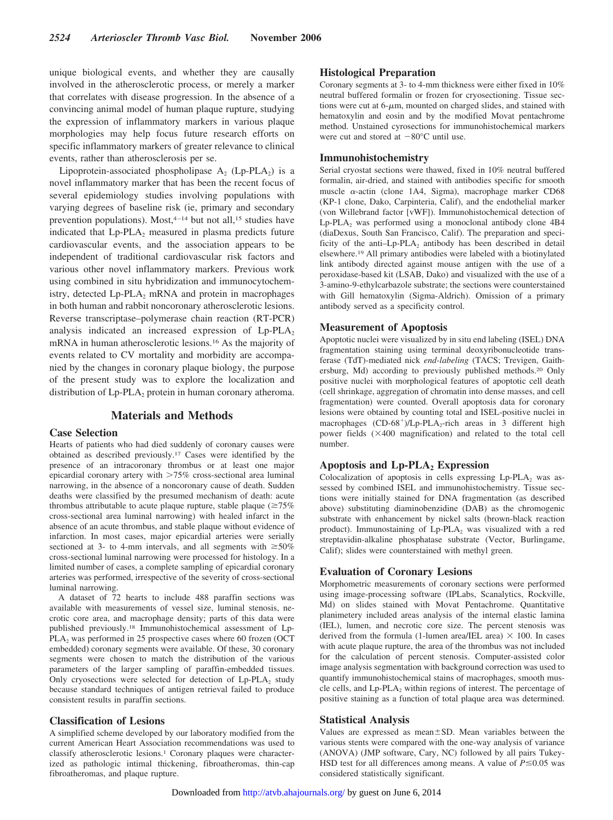unique biological events, and whether they are causally involved in the atherosclerotic process, or merely a marker that correlates with disease progression. In the absence of a convincing animal model of human plaque rupture, studying the expression of inflammatory markers in various plaque morphologies may help focus future research efforts on specific inflammatory markers of greater relevance to clinical events, rather than atherosclerosis per se.

Lipoprotein-associated phospholipase  $A_2$  (Lp-PLA<sub>2</sub>) is a novel inflammatory marker that has been the recent focus of several epidemiology studies involving populations with varying degrees of baseline risk (ie, primary and secondary prevention populations). Most, 4-14 but not all, 15 studies have indicated that  $L_p$ -PLA<sub>2</sub> measured in plasma predicts future cardiovascular events, and the association appears to be independent of traditional cardiovascular risk factors and various other novel inflammatory markers. Previous work using combined in situ hybridization and immunocytochemistry, detected  $L_p$ -PLA<sub>2</sub> mRNA and protein in macrophages in both human and rabbit noncoronary atherosclerotic lesions. Reverse transcriptase–polymerase chain reaction (RT-PCR) analysis indicated an increased expression of  $L_p$ -PLA<sub>2</sub> mRNA in human atherosclerotic lesions.16 As the majority of events related to CV mortality and morbidity are accompanied by the changes in coronary plaque biology, the purpose of the present study was to explore the localization and distribution of  $L_p$ -PLA<sub>2</sub> protein in human coronary atheroma.

# **Materials and Methods**

## **Case Selection**

Hearts of patients who had died suddenly of coronary causes were obtained as described previously.17 Cases were identified by the presence of an intracoronary thrombus or at least one major epicardial coronary artery with  $>75\%$  cross-sectional area luminal narrowing, in the absence of a noncoronary cause of death. Sudden deaths were classified by the presumed mechanism of death: acute thrombus attributable to acute plaque rupture, stable plaque  $(\geq 75\%$ cross-sectional area luminal narrowing) with healed infarct in the absence of an acute thrombus, and stable plaque without evidence of infarction. In most cases, major epicardial arteries were serially sectioned at 3- to 4-mm intervals, and all segments with  $\geq 50\%$ cross-sectional luminal narrowing were processed for histology. In a limited number of cases, a complete sampling of epicardial coronary arteries was performed, irrespective of the severity of cross-sectional luminal narrowing.

A dataset of 72 hearts to include 488 paraffin sections was available with measurements of vessel size, luminal stenosis, necrotic core area, and macrophage density; parts of this data were published previously.18 Immunohistochemical assessment of Lp- $PLA<sub>2</sub>$  was performed in 25 prospective cases where 60 frozen (OCT) embedded) coronary segments were available. Of these, 30 coronary segments were chosen to match the distribution of the various parameters of the larger sampling of paraffin-embedded tissues. Only cryosections were selected for detection of  $L_p$ -PLA<sub>2</sub> study because standard techniques of antigen retrieval failed to produce consistent results in paraffin sections.

## **Classification of Lesions**

A simplified scheme developed by our laboratory modified from the current American Heart Association recommendations was used to classify atherosclerotic lesions.1 Coronary plaques were characterized as pathologic intimal thickening, fibroatheromas, thin-cap fibroatheromas, and plaque rupture.

## **Histological Preparation**

Coronary segments at 3- to 4-mm thickness were either fixed in 10% neutral buffered formalin or frozen for cryosectioning. Tissue sections were cut at  $6-\mu m$ , mounted on charged slides, and stained with hematoxylin and eosin and by the modified Movat pentachrome method. Unstained cyrosections for immunohistochemical markers were cut and stored at  $-80^{\circ}$ C until use.

## **Immunohistochemistry**

Serial cryostat sections were thawed, fixed in 10% neutral buffered formalin, air-dried, and stained with antibodies specific for smooth muscle  $\alpha$ -actin (clone 1A4, Sigma), macrophage marker CD68 (KP-1 clone, Dako, Carpinteria, Calif), and the endothelial marker (von Willebrand factor [vWF]). Immunohistochemical detection of  $Lp-PLA_2$  was performed using a monoclonal antibody clone  $4B4$ (diaDexus, South San Francisco, Calif). The preparation and specificity of the anti-Lp-PLA<sub>2</sub> antibody has been described in detail elsewhere.19 All primary antibodies were labeled with a biotinylated link antibody directed against mouse antigen with the use of a peroxidase-based kit (LSAB, Dako) and visualized with the use of a 3-amino-9-ethylcarbazole substrate; the sections were counterstained with Gill hematoxylin (Sigma-Aldrich). Omission of a primary antibody served as a specificity control.

## **Measurement of Apoptosis**

Apoptotic nuclei were visualized by in situ end labeling (ISEL) DNA fragmentation staining using terminal deoxyribonucleotide transferase (TdT)-mediated nick *end-labeling* (TACS; Trevigen, Gaithersburg, Md) according to previously published methods.20 Only positive nuclei with morphological features of apoptotic cell death (cell shrinkage, aggregation of chromatin into dense masses, and cell fragmentation) were counted. Overall apoptosis data for coronary lesions were obtained by counting total and ISEL-positive nuclei in macrophages  $(CD-68^+)$ /Lp-PLA<sub>2</sub>-rich areas in 3 different high power fields  $(\times 400$  magnification) and related to the total cell number.

## Apoptosis and Lp-PLA<sub>2</sub> Expression

Colocalization of apoptosis in cells expressing  $L_p$ -PLA<sub>2</sub> was assessed by combined ISEL and immunohistochemistry. Tissue sections were initially stained for DNA fragmentation (as described above) substituting diaminobenzidine (DAB) as the chromogenic substrate with enhancement by nickel salts (brown-black reaction product). Immunostaining of  $L_p$ -PLA<sub>2</sub> was visualized with a red streptavidin-alkaline phosphatase substrate (Vector, Burlingame, Calif); slides were counterstained with methyl green.

## **Evaluation of Coronary Lesions**

Morphometric measurements of coronary sections were performed using image-processing software (IPLabs, Scanalytics, Rockville, Md) on slides stained with Movat Pentachrome. Quantitative planimetery included areas analysis of the internal elastic lamina (IEL), lumen, and necrotic core size. The percent stenosis was derived from the formula (1-lumen area/IEL area)  $\times$  100. In cases with acute plaque rupture, the area of the thrombus was not included for the calculation of percent stenosis. Computer-assisted color image analysis segmentation with background correction was used to quantify immunohistochemical stains of macrophages, smooth muscle cells, and  $Lp-PLA_2$  within regions of interest. The percentage of positive staining as a function of total plaque area was determined.

## **Statistical Analysis**

Values are expressed as mean $\pm$ SD. Mean variables between the various stents were compared with the one-way analysis of variance (ANOVA) (JMP software, Cary, NC) followed by all pairs Tukey-HSD test for all differences among means. A value of  $P \le 0.05$  was considered statistically significant.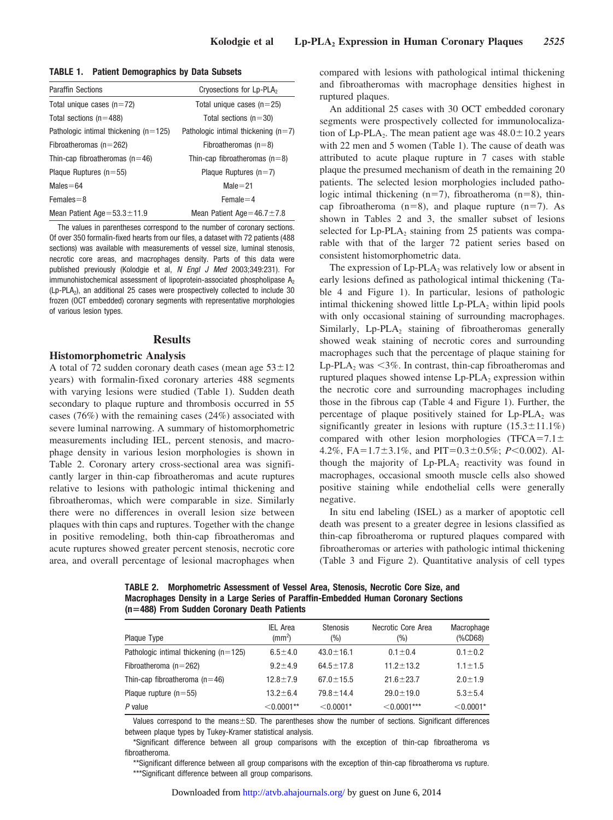| TABLE 1. |  | <b>Patient Demographics by Data Subsets</b> |  |  |  |
|----------|--|---------------------------------------------|--|--|--|
|----------|--|---------------------------------------------|--|--|--|

| <b>Paraffin Sections</b>                | Cryosections for Lp-PLA <sub>2</sub>  |
|-----------------------------------------|---------------------------------------|
| Total unique cases $(n=72)$             | Total unique cases $(n=25)$           |
| Total sections ( $n=488$ )              | Total sections $(n=30)$               |
| Pathologic intimal thickening $(n=125)$ | Pathologic intimal thickening $(n=7)$ |
| Fibroatheromas ( $n = 262$ )            | Fibroatheromas $(n=8)$                |
| Thin-cap fibroatheromas ( $n=46$ )      | Thin-cap fibroatheromas $(n=8)$       |
| Plaque Ruptures $(n=55)$                | Plaque Ruptures $(n=7)$               |
| $Males = 64$                            | $Male = 21$                           |
| $Females = 8$                           | $Female = 4$                          |
| Mean Patient Age= $53.3 \pm 11.9$       | Mean Patient Age=46.7 $\pm$ 7.8       |

The values in parentheses correspond to the number of coronary sections. Of over 350 formalin-fixed hearts from our files, a dataset with 72 patients (488 sections) was available with measurements of vessel size, luminal stenosis, necrotic core areas, and macrophages density. Parts of this data were published previously (Kolodgie et al, *N Engl J Med* 2003;349:231). For immunohistochemical assessment of lipoprotein-associated phospholipase  $A_2$ (Lp-PLA2), an additional 25 cases were prospectively collected to include 30 frozen (OCT embedded) coronary segments with representative morphologies of various lesion types.

## **Results**

## **Histomorphometric Analysis**

A total of 72 sudden coronary death cases (mean age  $53 \pm 12$ ) years) with formalin-fixed coronary arteries 488 segments with varying lesions were studied (Table 1). Sudden death secondary to plaque rupture and thrombosis occurred in 55 cases (76%) with the remaining cases (24%) associated with severe luminal narrowing. A summary of histomorphometric measurements including IEL, percent stenosis, and macrophage density in various lesion morphologies is shown in Table 2. Coronary artery cross-sectional area was significantly larger in thin-cap fibroatheromas and acute ruptures relative to lesions with pathologic intimal thickening and fibroatheromas, which were comparable in size. Similarly there were no differences in overall lesion size between plaques with thin caps and ruptures. Together with the change in positive remodeling, both thin-cap fibroatheromas and acute ruptures showed greater percent stenosis, necrotic core area, and overall percentage of lesional macrophages when compared with lesions with pathological intimal thickening and fibroatheromas with macrophage densities highest in ruptured plaques.

An additional 25 cases with 30 OCT embedded coronary segments were prospectively collected for immunolocalization of Lp-PLA<sub>2</sub>. The mean patient age was  $48.0 \pm 10.2$  years with 22 men and 5 women (Table 1). The cause of death was attributed to acute plaque rupture in 7 cases with stable plaque the presumed mechanism of death in the remaining 20 patients. The selected lesion morphologies included pathologic intimal thickening (n=7), fibroatheroma (n=8), thincap fibroatheroma ( $n=8$ ), and plaque rupture ( $n=7$ ). As shown in Tables 2 and 3, the smaller subset of lesions selected for Lp-PLA<sub>2</sub> staining from 25 patients was comparable with that of the larger 72 patient series based on consistent histomorphometric data.

The expression of  $L_p$ -PLA<sub>2</sub> was relatively low or absent in early lesions defined as pathological intimal thickening (Table 4 and Figure 1). In particular, lesions of pathologic intimal thickening showed little  $L_p$ -PL $A_2$  within lipid pools with only occasional staining of surrounding macrophages. Similarly,  $L_p$ -PLA<sub>2</sub> staining of fibroatheromas generally showed weak staining of necrotic cores and surrounding macrophages such that the percentage of plaque staining for Lp-PLA<sub>2</sub> was  $\leq$ 3%. In contrast, thin-cap fibroatheromas and ruptured plaques showed intense  $L_p$ -PLA<sub>2</sub> expression within the necrotic core and surrounding macrophages including those in the fibrous cap (Table 4 and Figure 1). Further, the percentage of plaque positively stained for  $L_p$ -PLA<sub>2</sub> was significantly greater in lesions with rupture  $(15.3 \pm 11.1\%)$ compared with other lesion morphologies (TFCA=7.1 $\pm$ 4.2%,  $FA = 1.7 \pm 3.1\%$ , and  $PIT = 0.3 \pm 0.5\%$ ;  $P < 0.002$ ). Although the majority of  $L_p$ -PLA<sub>2</sub> reactivity was found in macrophages, occasional smooth muscle cells also showed positive staining while endothelial cells were generally negative.

In situ end labeling (ISEL) as a marker of apoptotic cell death was present to a greater degree in lesions classified as thin-cap fibroatheroma or ruptured plaques compared with fibroatheromas or arteries with pathologic intimal thickening (Table 3 and Figure 2). Quantitative analysis of cell types

**TABLE 2. Morphometric Assessment of Vessel Area, Stenosis, Necrotic Core Size, and Macrophages Density in a Large Series of Paraffin-Embedded Human Coronary Sections (n488) From Sudden Coronary Death Patients**

| Plaque Type                             | <b>IEL Area</b><br>$\rm (mm^2)$ | <b>Stenosis</b><br>(%) | Necrotic Core Area<br>$(\%)$ | Macrophage<br>(%CD68) |
|-----------------------------------------|---------------------------------|------------------------|------------------------------|-----------------------|
| Pathologic intimal thickening $(n=125)$ | $6.5 \pm 4.0$                   | $43.0 \pm 16.1$        | $0.1 \pm 0.4$                | $0.1 \pm 0.2$         |
| Fibroatheroma ( $n = 262$ )             | $9.2 \pm 4.9$                   | $64.5 \pm 17.8$        | $11.2 + 13.2$                | $1.1 \pm 1.5$         |
| Thin-cap fibroatheroma $(n=46)$         | $12.8 \pm 7.9$                  | $67.0 \pm 15.5$        | $21.6 + 23.7$                | $2.0 \pm 1.9$         |
| Plaque rupture $(n=55)$                 | $13.2 \pm 6.4$                  | $79.8 \pm 14.4$        | $29.0 \pm 19.0$              | $5.3 \pm 5.4$         |
| $P$ value                               | $<$ 0.0001**                    | $< 0.0001*$            | $< 0.0001***$                | $< 0.0001*$           |

Values correspond to the means $\pm$ SD. The parentheses show the number of sections. Significant differences between plaque types by Tukey-Kramer statistical analysis.

\*Significant difference between all group comparisons with the exception of thin-cap fibroatheroma vs fibroatheroma.

\*\*Significant difference between all group comparisons with the exception of thin-cap fibroatheroma vs rupture. \*\*\*Significant difference between all group comparisons.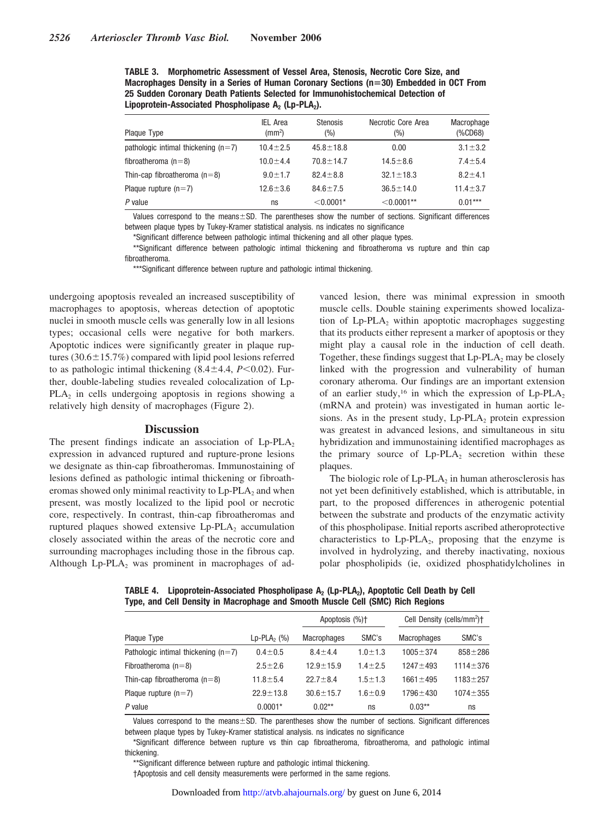**TABLE 3. Morphometric Assessment of Vessel Area, Stenosis, Necrotic Core Size, and Macrophages Density in a Series of Human Coronary Sections (n30) Embedded in OCT From 25 Sudden Coronary Death Patients Selected for Immunohistochemical Detection of** Lipoprotein-Associated Phospholipase A<sub>2</sub> (Lp-PLA<sub>2</sub>).

| Plaque Type                           | <b>IEL Area</b><br>$\rm (mm^2)$ | <b>Stenosis</b><br>(%) | Necrotic Core Area<br>(%) | Macrophage<br>$(%$ (%CD68) |
|---------------------------------------|---------------------------------|------------------------|---------------------------|----------------------------|
| pathologic intimal thickening $(n=7)$ | $10.4 + 2.5$                    | $45.8 \pm 18.8$        | 0.00                      | $3.1 \pm 3.2$              |
| fibroatheroma ( $n=8$ )               | $10.0 + 4.4$                    | $70.8 \pm 14.7$        | $14.5 \pm 8.6$            | $7.4 \pm 5.4$              |
| Thin-cap fibroatheroma $(n=8)$        | $9.0 \pm 1.7$                   | $82.4 \pm 8.8$         | $32.1 \pm 18.3$           | $8.2 \pm 4.1$              |
| Plaque rupture $(n=7)$                | $12.6 \pm 3.6$                  | $84.6 \pm 7.5$         | $36.5 \pm 14.0$           | $11.4 \pm 3.7$             |
| P value                               | ns                              | $<$ 0.0001*            | $< 0.0001**$              | $0.01***$                  |

Values correspond to the means $\pm$ SD. The parentheses show the number of sections. Significant differences between plaque types by Tukey-Kramer statistical analysis. ns indicates no significance

\*Significant difference between pathologic intimal thickening and all other plaque types.

\*\*Significant difference between pathologic intimal thickening and fibroatheroma vs rupture and thin cap fibroatheroma.

\*\*\*Significant difference between rupture and pathologic intimal thickening.

undergoing apoptosis revealed an increased susceptibility of macrophages to apoptosis, whereas detection of apoptotic nuclei in smooth muscle cells was generally low in all lesions types; occasional cells were negative for both markers. Apoptotic indices were significantly greater in plaque ruptures  $(30.6 \pm 15.7\%)$  compared with lipid pool lesions referred to as pathologic intimal thickening  $(8.4 \pm 4.4, P< 0.02)$ . Further, double-labeling studies revealed colocalization of Lp- $PLA<sub>2</sub>$  in cells undergoing apoptosis in regions showing a relatively high density of macrophages (Figure 2).

## **Discussion**

The present findings indicate an association of  $L_p$ -PLA<sub>2</sub> expression in advanced ruptured and rupture-prone lesions we designate as thin-cap fibroatheromas. Immunostaining of lesions defined as pathologic intimal thickening or fibroatheromas showed only minimal reactivity to  $L_p$ -PLA<sub>2</sub> and when present, was mostly localized to the lipid pool or necrotic core, respectively. In contrast, thin-cap fibroatheromas and ruptured plaques showed extensive  $L_p$ -PLA $_2$  accumulation closely associated within the areas of the necrotic core and surrounding macrophages including those in the fibrous cap. Although  $Lp-PLA_2$  was prominent in macrophages of ad-

vanced lesion, there was minimal expression in smooth muscle cells. Double staining experiments showed localization of  $L_p$ -PLA<sub>2</sub> within apoptotic macrophages suggesting that its products either represent a marker of apoptosis or they might play a causal role in the induction of cell death. Together, these findings suggest that  $L_p$ -PLA<sub>2</sub> may be closely linked with the progression and vulnerability of human coronary atheroma. Our findings are an important extension of an earlier study,<sup>16</sup> in which the expression of  $L_p$ -PLA<sub>2</sub> (mRNA and protein) was investigated in human aortic lesions. As in the present study,  $L_p$ -PLA<sub>2</sub> protein expression was greatest in advanced lesions, and simultaneous in situ hybridization and immunostaining identified macrophages as the primary source of  $L_p$ -PLA<sub>2</sub> secretion within these plaques.

The biologic role of  $L_p$ -PLA<sub>2</sub> in human atherosclerosis has not yet been definitively established, which is attributable, in part, to the proposed differences in atherogenic potential between the substrate and products of the enzymatic activity of this phospholipase. Initial reports ascribed atheroprotective characteristics to  $L_p$ -PLA<sub>2</sub>, proposing that the enzyme is involved in hydrolyzing, and thereby inactivating, noxious polar phospholipids (ie, oxidized phosphatidylcholines in

TABLE 4. Lipoprotein-Associated Phospholipase A<sub>2</sub> (Lp-PLA<sub>2</sub>), Apoptotic Cell Death by Cell **Type, and Cell Density in Macrophage and Smooth Muscle Cell (SMC) Rich Regions**

|                                       |                               | Apoptosis (%)+  |               | Cell Density (cells/mm <sup>2</sup> ) <sup>+</sup> |                |
|---------------------------------------|-------------------------------|-----------------|---------------|----------------------------------------------------|----------------|
| Plaque Type                           | $Lp$ -PLA <sub>2</sub> $(\%)$ | Macrophages     | SMC's         | <b>Macrophages</b>                                 | SMC's          |
| Pathologic intimal thickening $(n=7)$ | $0.4 \pm 0.5$                 | $8.4 + 4.4$     | $1.0 + 1.3$   | $1005 \pm 374$                                     | $858 + 286$    |
| Fibroatheroma $(n=8)$                 | $2.5 \pm 2.6$                 | $12.9 \pm 15.9$ | $1.4 \pm 2.5$ | $1247 + 493$                                       | $1114 \pm 376$ |
| Thin-cap fibroatheroma $(n=8)$        | $11.8 \pm 5.4$                | $22.7 + 8.4$    | $1.5 + 1.3$   | $1661 \pm 495$                                     | $1183 + 257$   |
| Plaque rupture $(n=7)$                | $22.9 \pm 13.8$               | $30.6 \pm 15.7$ | $1.6 \pm 0.9$ | $1796 \pm 430$                                     | $1074 \pm 355$ |
| $P$ value                             | $0.0001*$                     | $0.02**$        | ns            | $0.03***$                                          | ns             |

Values correspond to the means $\pm$ SD. The parentheses show the number of sections. Significant differences between plaque types by Tukey-Kramer statistical analysis. ns indicates no significance

\*Significant difference between rupture vs thin cap fibroatheroma, fibroatheroma, and pathologic intimal thickening.

\*\*Significant difference between rupture and pathologic intimal thickening.

†Apoptosis and cell density measurements were performed in the same regions.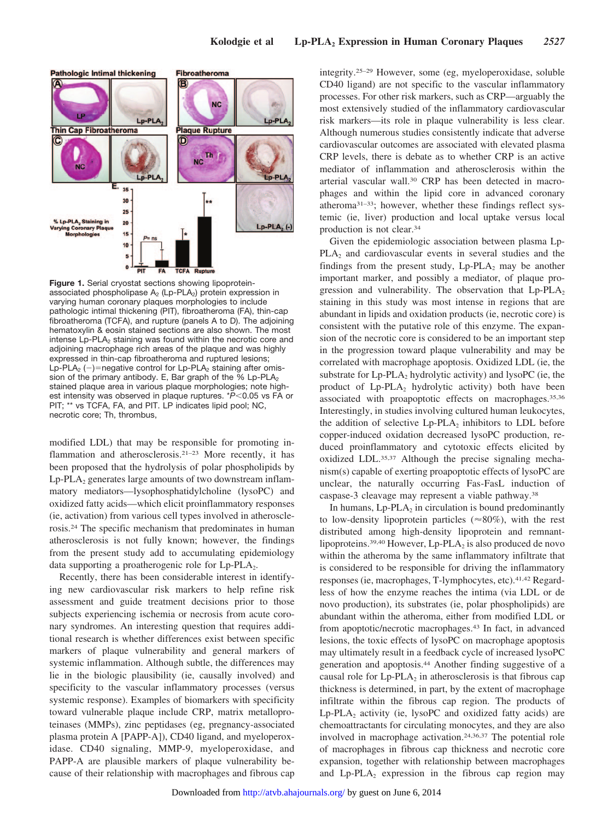

**Figure 1.** Serial cryostat sections showing lipoproteinassociated phospholipase  $A_2$  (Lp-PLA<sub>2</sub>) protein expression in varying human coronary plaques morphologies to include pathologic intimal thickening (PIT), fibroatheroma (FA), thin-cap fibroatheroma (TCFA), and rupture (panels A to D). The adjoining hematoxylin & eosin stained sections are also shown. The most intense  $L_p$ -PLA<sub> $2$ </sub> staining was found within the necrotic core and adjoining macrophage rich areas of the plaque and was highly expressed in thin-cap fibroatheroma and ruptured lesions; Lp-PLA<sub>2</sub> (-)=negative control for Lp-PLA<sub>2</sub> staining after omission of the primary antibody. E, Bar graph of the  $%$  Lp-PLA<sub>2</sub> stained plaque area in various plaque morphologies; note highest intensity was observed in plaque ruptures. \*P<0.05 vs FA or PIT; \*\* vs TCFA, FA, and PIT. LP indicates lipid pool; NC, necrotic core; Th, thrombus,

modified LDL) that may be responsible for promoting inflammation and atherosclerosis.21–23 More recently, it has been proposed that the hydrolysis of polar phospholipids by  $Lp$ -PLA<sub>2</sub> generates large amounts of two downstream inflammatory mediators—lysophosphatidylcholine (lysoPC) and oxidized fatty acids—which elicit proinflammatory responses (ie, activation) from various cell types involved in atherosclerosis.24 The specific mechanism that predominates in human atherosclerosis is not fully known; however, the findings from the present study add to accumulating epidemiology data supporting a proatherogenic role for  $L_p$ -PLA<sub>2</sub>.

Recently, there has been considerable interest in identifying new cardiovascular risk markers to help refine risk assessment and guide treatment decisions prior to those subjects experiencing ischemia or necrosis from acute coronary syndromes. An interesting question that requires additional research is whether differences exist between specific markers of plaque vulnerability and general markers of systemic inflammation. Although subtle, the differences may lie in the biologic plausibility (ie, causally involved) and specificity to the vascular inflammatory processes (versus systemic response). Examples of biomarkers with specificity toward vulnerable plaque include CRP, matrix metalloproteinases (MMPs), zinc peptidases (eg, pregnancy-associated plasma protein A [PAPP-A]), CD40 ligand, and myeloperoxidase. CD40 signaling, MMP-9, myeloperoxidase, and PAPP-A are plausible markers of plaque vulnerability because of their relationship with macrophages and fibrous cap integrity.25–29 However, some (eg, myeloperoxidase, soluble CD40 ligand) are not specific to the vascular inflammatory processes. For other risk markers, such as CRP—arguably the most extensively studied of the inflammatory cardiovascular risk markers—its role in plaque vulnerability is less clear. Although numerous studies consistently indicate that adverse cardiovascular outcomes are associated with elevated plasma CRP levels, there is debate as to whether CRP is an active mediator of inflammation and atherosclerosis within the arterial vascular wall.30 CRP has been detected in macrophages and within the lipid core in advanced coronary atheroma31–33; however, whether these findings reflect systemic (ie, liver) production and local uptake versus local production is not clear.34

Given the epidemiologic association between plasma Lp-PLA<sub>2</sub> and cardiovascular events in several studies and the findings from the present study,  $L_p$ -PLA<sub>2</sub> may be another important marker, and possibly a mediator, of plaque progression and vulnerability. The observation that  $L_p$ -PLA<sub>2</sub> staining in this study was most intense in regions that are abundant in lipids and oxidation products (ie, necrotic core) is consistent with the putative role of this enzyme. The expansion of the necrotic core is considered to be an important step in the progression toward plaque vulnerability and may be correlated with macrophage apoptosis. Oxidized LDL (ie, the substrate for  $L_p$ -PLA<sub>2</sub> hydrolytic activity) and lysoPC (ie, the product of  $L_p-PLA_2$  hydrolytic activity) both have been associated with proapoptotic effects on macrophages.35,36 Interestingly, in studies involving cultured human leukocytes, the addition of selective  $L_p$ -PLA<sub>2</sub> inhibitors to LDL before copper-induced oxidation decreased lysoPC production, reduced proinflammatory and cytotoxic effects elicited by oxidized LDL.35,37 Although the precise signaling mechanism(s) capable of exerting proapoptotic effects of lysoPC are unclear, the naturally occurring Fas-FasL induction of caspase-3 cleavage may represent a viable pathway.38

In humans,  $L_p$ -PLA<sub>2</sub> in circulation is bound predominantly to low-density lipoprotein particles ( $\approx 80\%$ ), with the rest distributed among high-density lipoprotein and remnantlipoproteins.<sup>39,40</sup> However, Lp-PLA<sub>2</sub> is also produced de novo within the atheroma by the same inflammatory infiltrate that is considered to be responsible for driving the inflammatory responses (ie, macrophages, T-lymphocytes, etc).41,42 Regardless of how the enzyme reaches the intima (via LDL or de novo production), its substrates (ie, polar phospholipids) are abundant within the atheroma, either from modified LDL or from apoptotic/necrotic macrophages.43 In fact, in advanced lesions, the toxic effects of lysoPC on macrophage apoptosis may ultimately result in a feedback cycle of increased lysoPC generation and apoptosis.44 Another finding suggestive of a causal role for  $L_p$ -PLA<sub>2</sub> in atherosclerosis is that fibrous cap thickness is determined, in part, by the extent of macrophage infiltrate within the fibrous cap region. The products of  $Lp$ -PLA<sub>2</sub> activity (ie, lysoPC and oxidized fatty acids) are chemoattractants for circulating monocytes, and they are also involved in macrophage activation.24,36,37 The potential role of macrophages in fibrous cap thickness and necrotic core expansion, together with relationship between macrophages and  $L_p$ -PLA<sub>2</sub> expression in the fibrous cap region may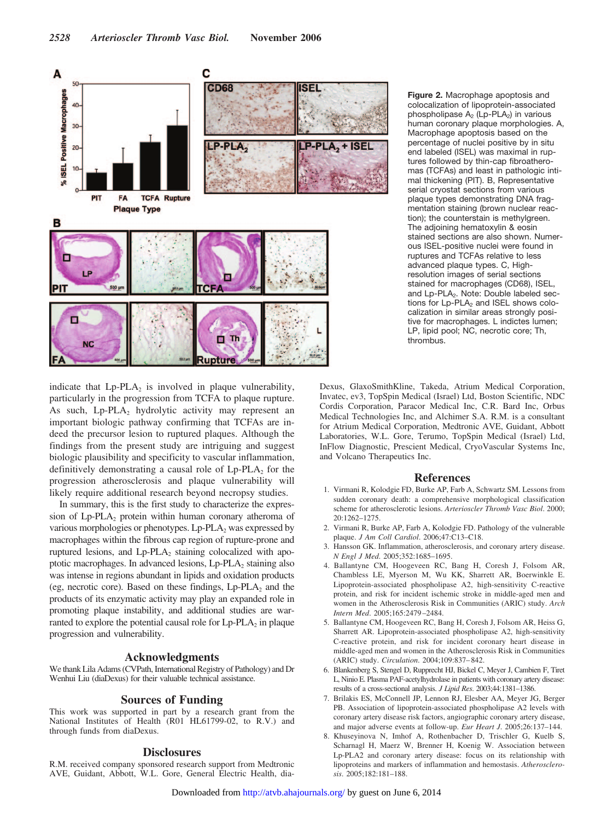

**Figure 2.** Macrophage apoptosis and colocalization of lipoprotein-associated phospholipase  $A_2$  (Lp-PLA<sub>2</sub>) in various human coronary plaque morphologies. A, Macrophage apoptosis based on the percentage of nuclei positive by in situ end labeled (ISEL) was maximal in ruptures followed by thin-cap fibroatheromas (TCFAs) and least in pathologic intimal thickening (PIT). B, Representative serial cryostat sections from various plaque types demonstrating DNA fragmentation staining (brown nuclear reaction); the counterstain is methylgreen. The adjoining hematoxylin & eosin stained sections are also shown. Numerous ISEL-positive nuclei were found in ruptures and TCFAs relative to less advanced plaque types. C, Highresolution images of serial sections stained for macrophages (CD68), ISEL, and Lp-PLA<sub>2</sub>. Note: Double labeled sections for  $L_p$ -PLA<sub>2</sub> and ISEL shows colocalization in similar areas strongly positive for macrophages. L indictes lumen; LP, lipid pool; NC, necrotic core; Th, thrombus.

indicate that  $L_p$ -PLA<sub>2</sub> is involved in plaque vulnerability, particularly in the progression from TCFA to plaque rupture. As such,  $L_p$ -PLA<sub>2</sub> hydrolytic activity may represent an important biologic pathway confirming that TCFAs are indeed the precursor lesion to ruptured plaques. Although the findings from the present study are intriguing and suggest biologic plausibility and specificity to vascular inflammation, definitively demonstrating a causal role of  $L_p$ -PLA<sub>2</sub> for the progression atherosclerosis and plaque vulnerability will likely require additional research beyond necropsy studies.

In summary, this is the first study to characterize the expression of Lp-PLA<sub>2</sub> protein within human coronary atheroma of various morphologies or phenotypes.  $L_p$ -PLA<sub>2</sub> was expressed by macrophages within the fibrous cap region of rupture-prone and ruptured lesions, and  $L_p$ -PLA<sub>2</sub> staining colocalized with apoptotic macrophages. In advanced lesions, Lp-PLA<sub>2</sub> staining also was intense in regions abundant in lipids and oxidation products (eg, necrotic core). Based on these findings,  $L_p$ -PLA<sub>2</sub> and the products of its enzymatic activity may play an expanded role in promoting plaque instability, and additional studies are warranted to explore the potential causal role for  $L_p$ -PLA<sub>2</sub> in plaque progression and vulnerability.

## **Acknowledgments**

We thank Lila Adams (CVPath, International Registry of Pathology) and Dr Wenhui Liu (diaDexus) for their valuable technical assistance.

## **Sources of Funding**

This work was supported in part by a research grant from the National Institutes of Health (R01 HL61799-02, to R.V.) and through funds from diaDexus.

# **Disclosures**

R.M. received company sponsored research support from Medtronic AVE, Guidant, Abbott, W.L. Gore, General Electric Health, diaDexus, GlaxoSmithKline, Takeda, Atrium Medical Corporation, Invatec, ev3, TopSpin Medical (Israel) Ltd, Boston Scientific, NDC Cordis Corporation, Paracor Medical Inc, C.R. Bard Inc, Orbus Medical Technologies Inc, and Alchimer S.A. R.M. is a consultant for Atrium Medical Corporation, Medtronic AVE, Guidant, Abbott Laboratories, W.L. Gore, Terumo, TopSpin Medical (Israel) Ltd, InFlow Diagnostic, Prescient Medical, CryoVascular Systems Inc, and Volcano Therapeutics Inc.

#### **References**

- 1. Virmani R, Kolodgie FD, Burke AP, Farb A, Schwartz SM. Lessons from sudden coronary death: a comprehensive morphological classification scheme for atherosclerotic lesions. *Arterioscler Thromb Vasc Biol*. 2000; 20:1262–1275.
- 2. Virmani R, Burke AP, Farb A, Kolodgie FD. Pathology of the vulnerable plaque. *J Am Coll Cardiol*. 2006;47:C13–C18.
- 3. Hansson GK. Inflammation, atherosclerosis, and coronary artery disease. *N Engl J Med*. 2005;352:1685–1695.
- 4. Ballantyne CM, Hoogeveen RC, Bang H, Coresh J, Folsom AR, Chambless LE, Myerson M, Wu KK, Sharrett AR, Boerwinkle E. Lipoprotein-associated phospholipase A2, high-sensitivity C-reactive protein, and risk for incident ischemic stroke in middle-aged men and women in the Atherosclerosis Risk in Communities (ARIC) study. *Arch Intern Med*. 2005;165:2479 –2484.
- 5. Ballantyne CM, Hoogeveen RC, Bang H, Coresh J, Folsom AR, Heiss G, Sharrett AR. Lipoprotein-associated phospholipase A2, high-sensitivity C-reactive protein, and risk for incident coronary heart disease in middle-aged men and women in the Atherosclerosis Risk in Communities (ARIC) study. *Circulation*. 2004;109:837– 842.
- 6. Blankenberg S, Stengel D, Rupprecht HJ, Bickel C, Meyer J, Cambien F, Tiret L, Ninio E. Plasma PAF-acetylhydrolase in patients with coronary artery disease: results of a cross-sectional analysis. *J Lipid Res*. 2003;44:1381–1386.
- 7. Brilakis ES, McConnell JP, Lennon RJ, Elesber AA, Meyer JG, Berger PB. Association of lipoprotein-associated phospholipase A2 levels with coronary artery disease risk factors, angiographic coronary artery disease, and major adverse events at follow-up. *Eur Heart J*. 2005;26:137–144.
- 8. Khuseyinova N, Imhof A, Rothenbacher D, Trischler G, Kuelb S, Scharnagl H, Maerz W, Brenner H, Koenig W. Association between Lp-PLA2 and coronary artery disease: focus on its relationship with lipoproteins and markers of inflammation and hemostasis. *Atherosclerosis*. 2005;182:181–188.